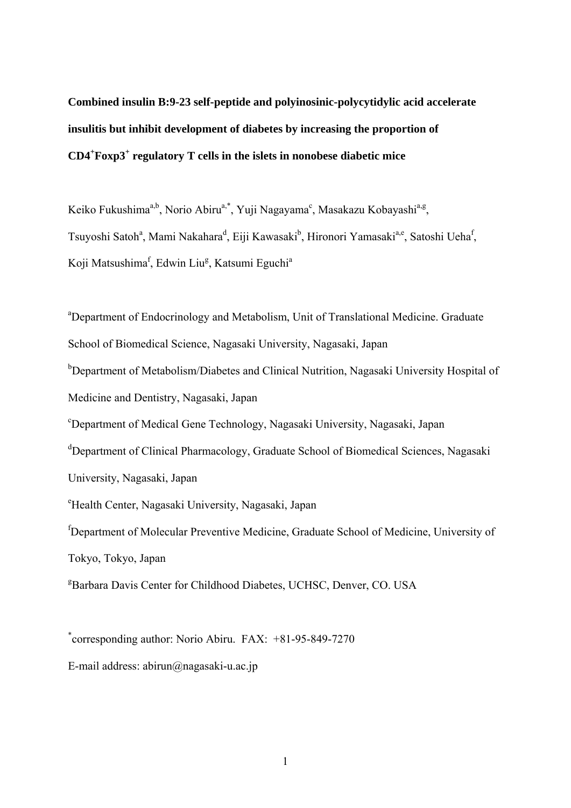**Combined insulin B:9-23 self-peptide and polyinosinic-polycytidylic acid accelerate insulitis but inhibit development of diabetes by increasing the proportion of CD4<sup>+</sup> Foxp3+ regulatory T cells in the islets in nonobese diabetic mice** 

Keiko Fukushima<sup>a,b</sup>, Norio Abiru<sup>a,\*</sup>, Yuji Nagayama<sup>c</sup>, Masakazu Kobayashi<sup>a,g</sup>, Tsuyoshi Satoh<sup>a</sup>, Mami Nakahara<sup>d</sup>, Eiji Kawasaki<sup>b</sup>, Hironori Yamasaki<sup>a,e</sup>, Satoshi Ueha<sup>f</sup>, Koji Matsushima<sup>f</sup>, Edwin Liu<sup>g</sup>, Katsumi Eguchi<sup>a</sup>

<sup>a</sup>Department of Endocrinology and Metabolism, Unit of Translational Medicine. Graduate School of Biomedical Science, Nagasaki University, Nagasaki, Japan <sup>b</sup>Department of Metabolism/Diabetes and Clinical Nutrition, Nagasaki University Hospital of Medicine and Dentistry, Nagasaki, Japan c Department of Medical Gene Technology, Nagasaki University, Nagasaki, Japan <sup>d</sup>Department of Clinical Pharmacology, Graduate School of Biomedical Sciences, Nagasaki University, Nagasaki, Japan e Health Center, Nagasaki University, Nagasaki, Japan f Department of Molecular Preventive Medicine, Graduate School of Medicine, University of Tokyo, Tokyo, Japan <sup>g</sup>Barbara Davis Center for Childhood Diabetes, UCHSC, Denver, CO. USA

\* corresponding author: Norio Abiru. FAX: +81-95-849-7270

E-mail address: abirun@nagasaki-u.ac.jp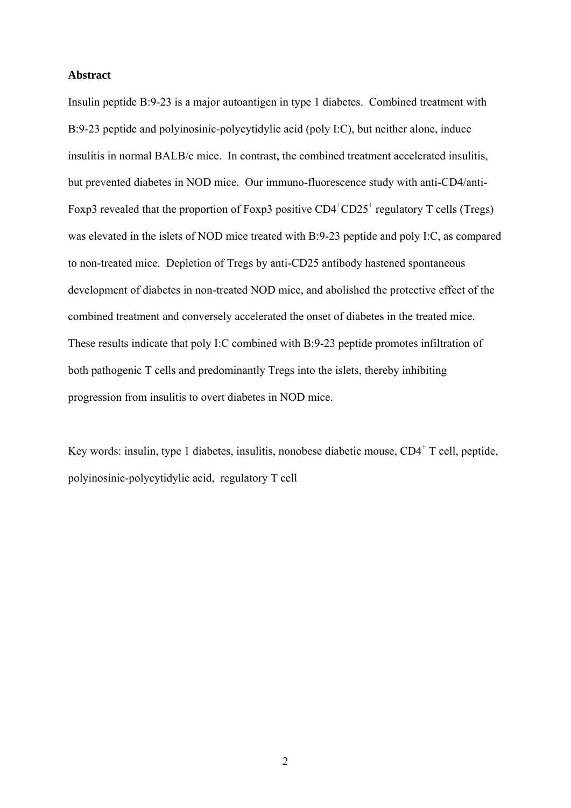## **Abstract**

Insulin peptide B:9-23 is a major autoantigen in type 1 diabetes. Combined treatment with B:9-23 peptide and polyinosinic-polycytidylic acid (poly I:C), but neither alone, induce insulitis in normal BALB/c mice. In contrast, the combined treatment accelerated insulitis, but prevented diabetes in NOD mice. Our immuno-fluorescence study with anti-CD4/anti-Foxp3 revealed that the proportion of Foxp3 positive  $CD4+CD25+$  regulatory T cells (Tregs) was elevated in the islets of NOD mice treated with B:9-23 peptide and poly I:C, as compared to non-treated mice. Depletion of Tregs by anti-CD25 antibody hastened spontaneous development of diabetes in non-treated NOD mice, and abolished the protective effect of the combined treatment and conversely accelerated the onset of diabetes in the treated mice. These results indicate that poly I:C combined with B:9-23 peptide promotes infiltration of both pathogenic T cells and predominantly Tregs into the islets, thereby inhibiting progression from insulitis to overt diabetes in NOD mice.

Key words: insulin, type 1 diabetes, insulitis, nonobese diabetic mouse, CD4<sup>+</sup> T cell, peptide, polyinosinic-polycytidylic acid, regulatory T cell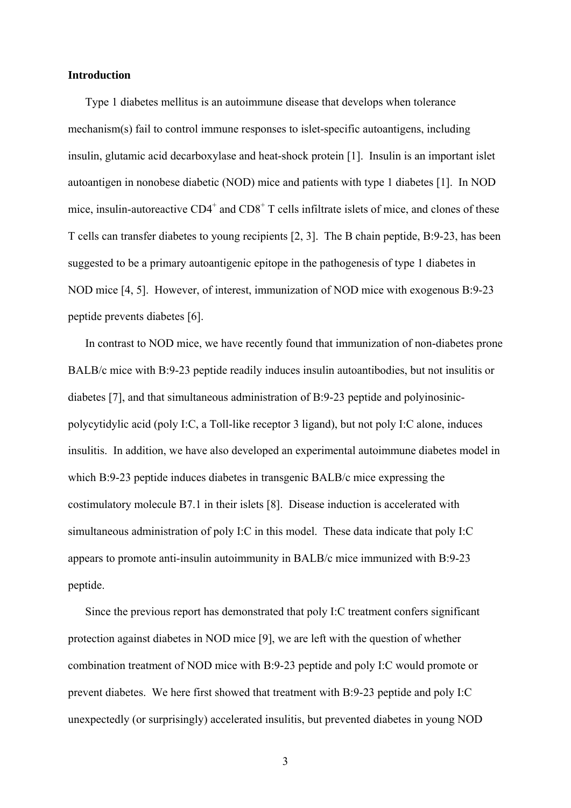## **Introduction**

Type 1 diabetes mellitus is an autoimmune disease that develops when tolerance mechanism(s) fail to control immune responses to islet-specific autoantigens, including insulin, glutamic acid decarboxylase and heat-shock protein [1]. Insulin is an important islet autoantigen in nonobese diabetic (NOD) mice and patients with type 1 diabetes [1]. In NOD mice, insulin-autoreactive  $CD4^+$  and  $CD8^+$  T cells infiltrate islets of mice, and clones of these T cells can transfer diabetes to young recipients [2, 3]. The B chain peptide, B:9-23, has been suggested to be a primary autoantigenic epitope in the pathogenesis of type 1 diabetes in NOD mice [4, 5]. However, of interest, immunization of NOD mice with exogenous B:9-23 peptide prevents diabetes [6].

In contrast to NOD mice, we have recently found that immunization of non-diabetes prone BALB/c mice with B:9-23 peptide readily induces insulin autoantibodies, but not insulitis or diabetes [7], and that simultaneous administration of B:9-23 peptide and polyinosinicpolycytidylic acid (poly I:C, a Toll-like receptor 3 ligand), but not poly I:C alone, induces insulitis. In addition, we have also developed an experimental autoimmune diabetes model in which B:9-23 peptide induces diabetes in transgenic BALB/c mice expressing the costimulatory molecule B7.1 in their islets [8]. Disease induction is accelerated with simultaneous administration of poly I:C in this model. These data indicate that poly I:C appears to promote anti-insulin autoimmunity in BALB/c mice immunized with B:9-23 peptide.

Since the previous report has demonstrated that poly I:C treatment confers significant protection against diabetes in NOD mice [9], we are left with the question of whether combination treatment of NOD mice with B:9-23 peptide and poly I:C would promote or prevent diabetes. We here first showed that treatment with B:9-23 peptide and poly I:C unexpectedly (or surprisingly) accelerated insulitis, but prevented diabetes in young NOD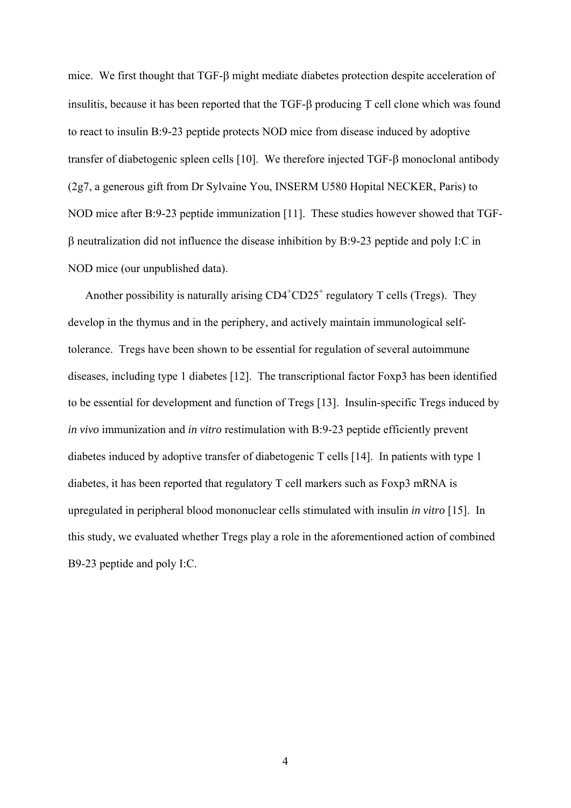mice. We first thought that  $TGF-\beta$  might mediate diabetes protection despite acceleration of insulitis, because it has been reported that the  $TGF- $\beta$  producing  $T$  cell clone which was found$ to react to insulin B:9-23 peptide protects NOD mice from disease induced by adoptive transfer of diabetogenic spleen cells  $[10]$ . We therefore injected TGF- $\beta$  monoclonal antibody (2g7, a generous gift from Dr Sylvaine You, INSERM U580 Hopital NECKER, Paris) to NOD mice after B:9-23 peptide immunization [11]. These studies however showed that TGF-  $\beta$  neutralization did not influence the disease inhibition by B:9-23 peptide and poly I:C in NOD mice (our unpublished data).

Another possibility is naturally arising  $CD4^+CD25^+$  regulatory T cells (Tregs). They develop in the thymus and in the periphery, and actively maintain immunological selftolerance. Tregs have been shown to be essential for regulation of several autoimmune diseases, including type 1 diabetes [12]. The transcriptional factor Foxp3 has been identified to be essential for development and function of Tregs [13]. Insulin-specific Tregs induced by *in vivo* immunization and *in vitro* restimulation with B:9-23 peptide efficiently prevent diabetes induced by adoptive transfer of diabetogenic T cells [14]. In patients with type 1 diabetes, it has been reported that regulatory T cell markers such as Foxp3 mRNA is upregulated in peripheral blood mononuclear cells stimulated with insulin *in vitro* [15]. In this study, we evaluated whether Tregs play a role in the aforementioned action of combined B9-23 peptide and poly I:C.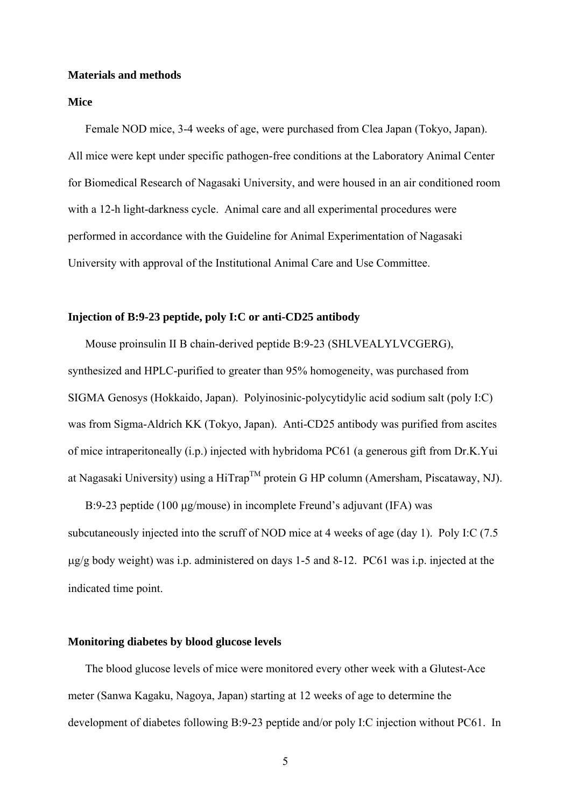#### **Materials and methods**

## **Mice**

Female NOD mice, 3-4 weeks of age, were purchased from Clea Japan (Tokyo, Japan). All mice were kept under specific pathogen-free conditions at the Laboratory Animal Center for Biomedical Research of Nagasaki University, and were housed in an air conditioned room with a 12-h light-darkness cycle. Animal care and all experimental procedures were performed in accordance with the Guideline for Animal Experimentation of Nagasaki University with approval of the Institutional Animal Care and Use Committee.

## **Injection of B:9-23 peptide, poly I:C or anti-CD25 antibody**

Mouse proinsulin II B chain-derived peptide B:9-23 (SHLVEALYLVCGERG), synthesized and HPLC-purified to greater than 95% homogeneity, was purchased from SIGMA Genosys (Hokkaido, Japan). Polyinosinic-polycytidylic acid sodium salt (poly I:C) was from Sigma-Aldrich KK (Tokyo, Japan). Anti-CD25 antibody was purified from ascites of mice intraperitoneally (i.p.) injected with hybridoma PC61 (a generous gift from Dr.K.Yui at Nagasaki University) using a HiTrap<sup>TM</sup> protein G HP column (Amersham, Piscataway, NJ).

B:9-23 peptide (100  $\mu$ g/mouse) in incomplete Freund's adjuvant (IFA) was subcutaneously injected into the scruff of NOD mice at 4 weeks of age (day 1). Poly I:C (7.5 g/g body weight) was i.p. administered on days 1-5 and 8-12. PC61 was i.p. injected at the indicated time point.

## **Monitoring diabetes by blood glucose levels**

The blood glucose levels of mice were monitored every other week with a Glutest-Ace meter (Sanwa Kagaku, Nagoya, Japan) starting at 12 weeks of age to determine the development of diabetes following B:9-23 peptide and/or poly I:C injection without PC61. In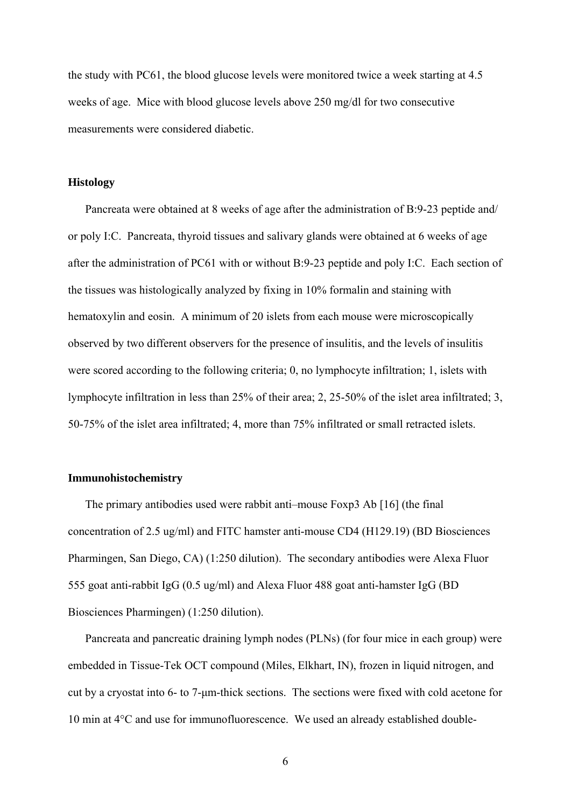the study with PC61, the blood glucose levels were monitored twice a week starting at 4.5 weeks of age. Mice with blood glucose levels above 250 mg/dl for two consecutive measurements were considered diabetic.

## **Histology**

Pancreata were obtained at 8 weeks of age after the administration of B:9-23 peptide and/ or poly I:C. Pancreata, thyroid tissues and salivary glands were obtained at 6 weeks of age after the administration of PC61 with or without B:9-23 peptide and poly I:C. Each section of the tissues was histologically analyzed by fixing in 10% formalin and staining with hematoxylin and eosin. A minimum of 20 islets from each mouse were microscopically observed by two different observers for the presence of insulitis, and the levels of insulitis were scored according to the following criteria; 0, no lymphocyte infiltration; 1, islets with lymphocyte infiltration in less than 25% of their area; 2, 25-50% of the islet area infiltrated; 3, 50-75% of the islet area infiltrated; 4, more than 75% infiltrated or small retracted islets.

## **Immunohistochemistry**

The primary antibodies used were rabbit anti–mouse Foxp3 Ab [16] (the final concentration of 2.5 ug/ml) and FITC hamster anti-mouse CD4 (H129.19) (BD Biosciences Pharmingen, San Diego, CA) (1:250 dilution). The secondary antibodies were Alexa Fluor 555 goat anti-rabbit IgG (0.5 ug/ml) and Alexa Fluor 488 goat anti-hamster IgG (BD Biosciences Pharmingen) (1:250 dilution).

Pancreata and pancreatic draining lymph nodes (PLNs) (for four mice in each group) were embedded in Tissue-Tek OCT compound (Miles, Elkhart, IN), frozen in liquid nitrogen, and cut by a cryostat into 6- to 7-μm-thick sections. The sections were fixed with cold acetone for 10 min at 4°C and use for immunofluorescence. We used an already established double-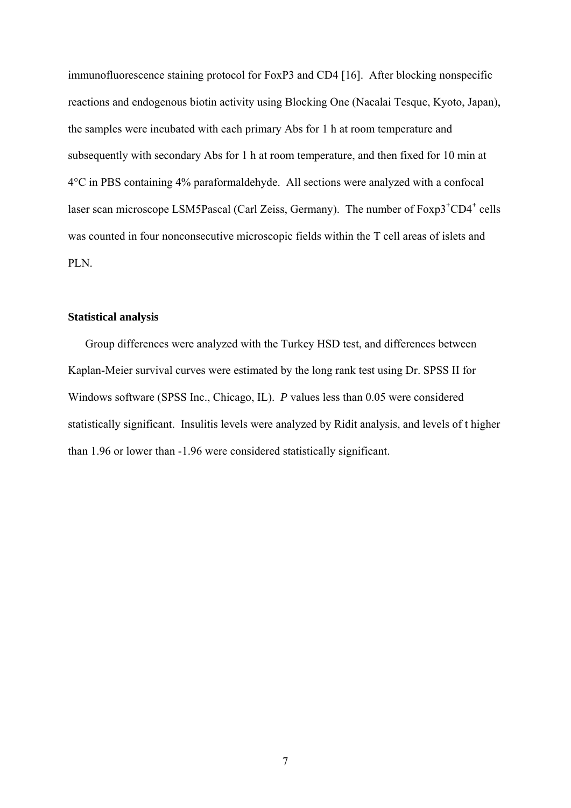immunofluorescence staining protocol for FoxP3 and CD4 [16]. After blocking nonspecific reactions and endogenous biotin activity using Blocking One (Nacalai Tesque, Kyoto, Japan), the samples were incubated with each primary Abs for 1 h at room temperature and subsequently with secondary Abs for 1 h at room temperature, and then fixed for 10 min at 4°C in PBS containing 4% paraformaldehyde. All sections were analyzed with a confocal laser scan microscope LSM5Pascal (Carl Zeiss, Germany). The number of Foxp3<sup>+</sup>CD4<sup>+</sup> cells was counted in four nonconsecutive microscopic fields within the T cell areas of islets and PLN.

## **Statistical analysis**

Group differences were analyzed with the Turkey HSD test, and differences between Kaplan-Meier survival curves were estimated by the long rank test using Dr. SPSS II for Windows software (SPSS Inc., Chicago, IL). *P* values less than 0.05 were considered statistically significant. Insulitis levels were analyzed by Ridit analysis, and levels of t higher than 1.96 or lower than -1.96 were considered statistically significant.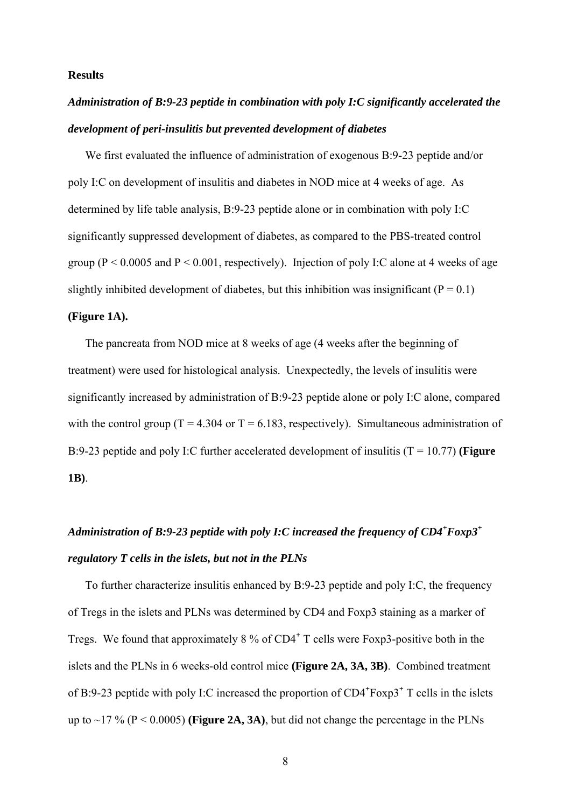## **Results**

## *Administration of B:9-23 peptide in combination with poly I:C significantly accelerated the development of peri-insulitis but prevented development of diabetes*

We first evaluated the influence of administration of exogenous B:9-23 peptide and/or poly I:C on development of insulitis and diabetes in NOD mice at 4 weeks of age. As determined by life table analysis, B:9-23 peptide alone or in combination with poly I:C significantly suppressed development of diabetes, as compared to the PBS-treated control group ( $P \le 0.0005$  and  $P \le 0.001$ , respectively). Injection of poly I:C alone at 4 weeks of age slightly inhibited development of diabetes, but this inhibition was insignificant ( $P = 0.1$ )

## **(Figure 1A).**

The pancreata from NOD mice at 8 weeks of age (4 weeks after the beginning of treatment) were used for histological analysis. Unexpectedly, the levels of insulitis were significantly increased by administration of B:9-23 peptide alone or poly I:C alone, compared with the control group ( $T = 4.304$  or  $T = 6.183$ , respectively). Simultaneous administration of B:9-23 peptide and poly I:C further accelerated development of insulitis (T = 10.77) **(Figure 1B)**.

## *Administration of B:9-23 peptide with poly I:C increased the frequency of CD4<sup>+</sup> Foxp3+ regulatory T cells in the islets, but not in the PLNs*

To further characterize insulitis enhanced by B:9-23 peptide and poly I:C, the frequency of Tregs in the islets and PLNs was determined by CD4 and Foxp3 staining as a marker of Tregs. We found that approximately 8 % of CD4**<sup>+</sup>** T cells were Foxp3-positive both in the islets and the PLNs in 6 weeks-old control mice **(Figure 2A, 3A, 3B)**. Combined treatment of B:9-23 peptide with poly I:C increased the proportion of CD4**<sup>+</sup>** Foxp3**<sup>+</sup>** T cells in the islets up to  $\sim$ 17 % (P < 0.0005) (**Figure 2A, 3A**), but did not change the percentage in the PLNs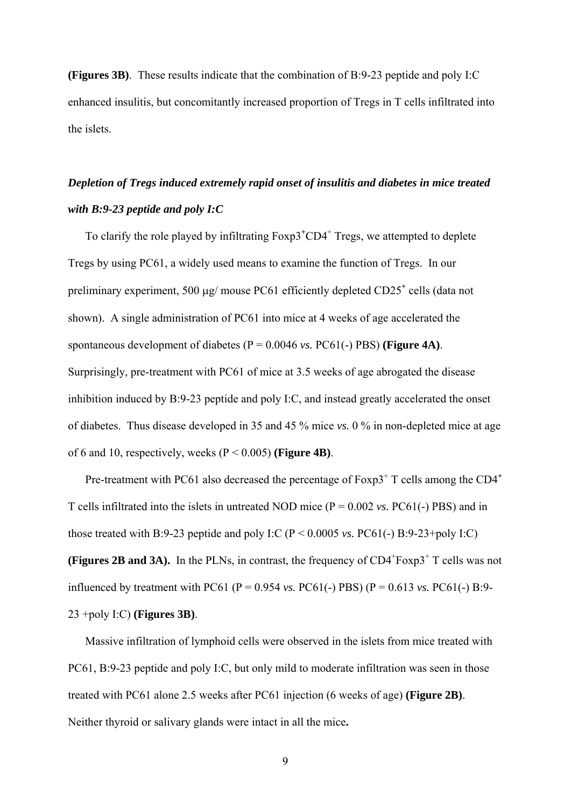**(Figures 3B)**. These results indicate that the combination of B:9-23 peptide and poly I:C enhanced insulitis, but concomitantly increased proportion of Tregs in T cells infiltrated into the islets.

## *Depletion of Tregs induced extremely rapid onset of insulitis and diabetes in mice treated with B:9-23 peptide and poly I:C*

To clarify the role played by infiltrating  $Foxp3+CD4$ <sup>+</sup> Tregs, we attempted to deplete Tregs by using PC61, a widely used means to examine the function of Tregs. In our preliminary experiment, 500 µg/ mouse PC61 efficiently depleted CD25<sup>+</sup> cells (data not shown). A single administration of PC61 into mice at 4 weeks of age accelerated the spontaneous development of diabetes (P = 0.0046 *vs.* PC61(-) PBS) **(Figure 4A)**. Surprisingly, pre-treatment with PC61 of mice at 3.5 weeks of age abrogated the disease inhibition induced by B:9-23 peptide and poly I:C, and instead greatly accelerated the onset of diabetes. Thus disease developed in 35 and 45 % mice *vs.* 0 % in non-depleted mice at age of 6 and 10, respectively, weeks (P < 0.005) **(Figure 4B)**.

Pre-treatment with PC61 also decreased the percentage of Foxp3<sup>+</sup> T cells among the CD4<sup>+</sup> T cells infiltrated into the islets in untreated NOD mice (P = 0.002 *vs.* PC61(-) PBS) and in those treated with B:9-23 peptide and poly I:C ( $P < 0.0005$  *vs.* PC61(-) B:9-23+poly I:C) **(Figures 2B and 3A).** In the PLNs, in contrast, the frequency of  $CD4 + F\alpha p3 + T$  cells was not influenced by treatment with PC61 (P =  $0.954$  *vs.* PC61(-) PBS) (P =  $0.613$  *vs.* PC61(-) B:9-23 +poly I:C) **(Figures 3B)**.

Massive infiltration of lymphoid cells were observed in the islets from mice treated with PC61, B:9-23 peptide and poly I:C, but only mild to moderate infiltration was seen in those treated with PC61 alone 2.5 weeks after PC61 injection (6 weeks of age) **(Figure 2B)**. Neither thyroid or salivary glands were intact in all the mice**.**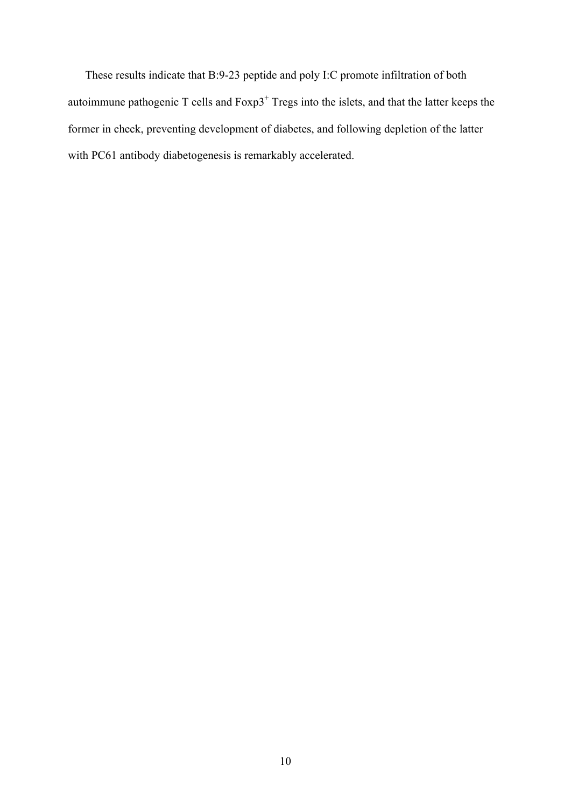These results indicate that B:9-23 peptide and poly I:C promote infiltration of both autoimmune pathogenic  $T$  cells and  $F\text{exp3}^+$  Tregs into the islets, and that the latter keeps the former in check, preventing development of diabetes, and following depletion of the latter with PC61 antibody diabetogenesis is remarkably accelerated.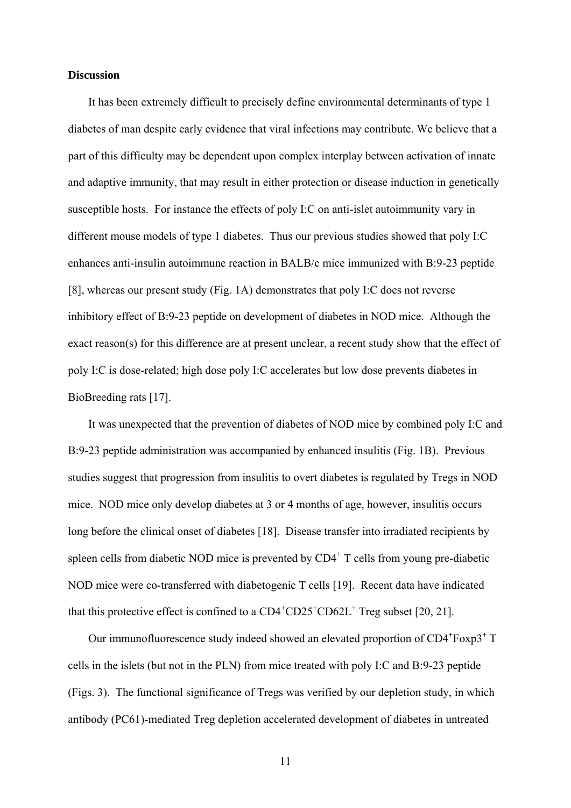## **Discussion**

It has been extremely difficult to precisely define environmental determinants of type 1 diabetes of man despite early evidence that viral infections may contribute. We believe that a part of this difficulty may be dependent upon complex interplay between activation of innate and adaptive immunity, that may result in either protection or disease induction in genetically susceptible hosts. For instance the effects of poly I:C on anti-islet autoimmunity vary in different mouse models of type 1 diabetes. Thus our previous studies showed that poly I:C enhances anti-insulin autoimmune reaction in BALB/c mice immunized with B:9-23 peptide [8], whereas our present study (Fig. 1A) demonstrates that poly I:C does not reverse inhibitory effect of B:9-23 peptide on development of diabetes in NOD mice. Although the exact reason(s) for this difference are at present unclear, a recent study show that the effect of poly I:C is dose-related; high dose poly I:C accelerates but low dose prevents diabetes in BioBreeding rats [17].

It was unexpected that the prevention of diabetes of NOD mice by combined poly I:C and B:9-23 peptide administration was accompanied by enhanced insulitis (Fig. 1B). Previous studies suggest that progression from insulitis to overt diabetes is regulated by Tregs in NOD mice. NOD mice only develop diabetes at 3 or 4 months of age, however, insulitis occurs long before the clinical onset of diabetes [18]. Disease transfer into irradiated recipients by spleen cells from diabetic NOD mice is prevented by  $CD4<sup>+</sup>$  T cells from young pre-diabetic NOD mice were co-transferred with diabetogenic T cells [19]. Recent data have indicated that this protective effect is confined to a  $CD4^+CD25^+CD62L^+$  Treg subset [20, 21].

Our immunofluorescence study indeed showed an elevated proportion of CD4<sup>+</sup>Foxp3<sup>+</sup> T cells in the islets (but not in the PLN) from mice treated with poly I:C and B:9-23 peptide (Figs. 3). The functional significance of Tregs was verified by our depletion study, in which antibody (PC61)-mediated Treg depletion accelerated development of diabetes in untreated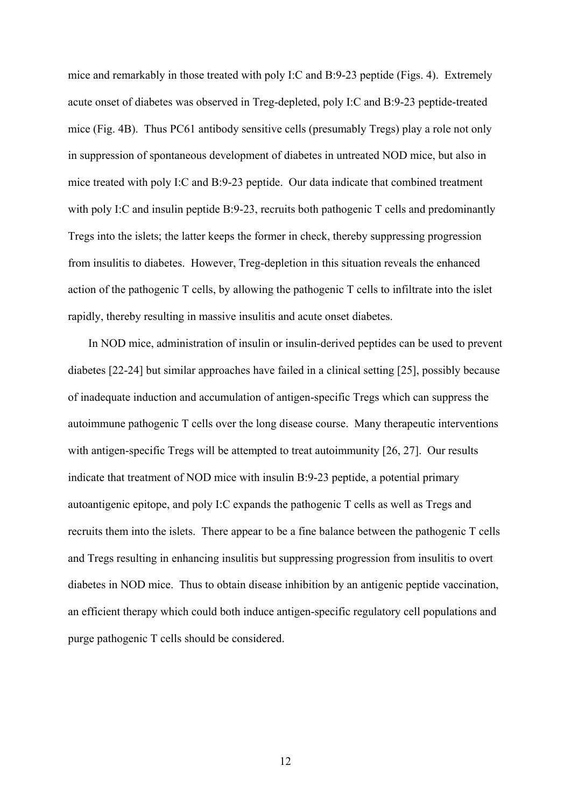mice and remarkably in those treated with poly I:C and B:9-23 peptide (Figs. 4). Extremely acute onset of diabetes was observed in Treg-depleted, poly I:C and B:9-23 peptide-treated mice (Fig. 4B). Thus PC61 antibody sensitive cells (presumably Tregs) play a role not only in suppression of spontaneous development of diabetes in untreated NOD mice, but also in mice treated with poly I:C and B:9-23 peptide. Our data indicate that combined treatment with poly I:C and insulin peptide B:9-23, recruits both pathogenic T cells and predominantly Tregs into the islets; the latter keeps the former in check, thereby suppressing progression from insulitis to diabetes. However, Treg-depletion in this situation reveals the enhanced action of the pathogenic T cells, by allowing the pathogenic T cells to infiltrate into the islet rapidly, thereby resulting in massive insulitis and acute onset diabetes.

In NOD mice, administration of insulin or insulin-derived peptides can be used to prevent diabetes [22-24] but similar approaches have failed in a clinical setting [25], possibly because of inadequate induction and accumulation of antigen-specific Tregs which can suppress the autoimmune pathogenic T cells over the long disease course. Many therapeutic interventions with antigen-specific Tregs will be attempted to treat autoimmunity [26, 27]. Our results indicate that treatment of NOD mice with insulin B:9-23 peptide, a potential primary autoantigenic epitope, and poly I:C expands the pathogenic T cells as well as Tregs and recruits them into the islets. There appear to be a fine balance between the pathogenic T cells and Tregs resulting in enhancing insulitis but suppressing progression from insulitis to overt diabetes in NOD mice. Thus to obtain disease inhibition by an antigenic peptide vaccination, an efficient therapy which could both induce antigen-specific regulatory cell populations and purge pathogenic T cells should be considered.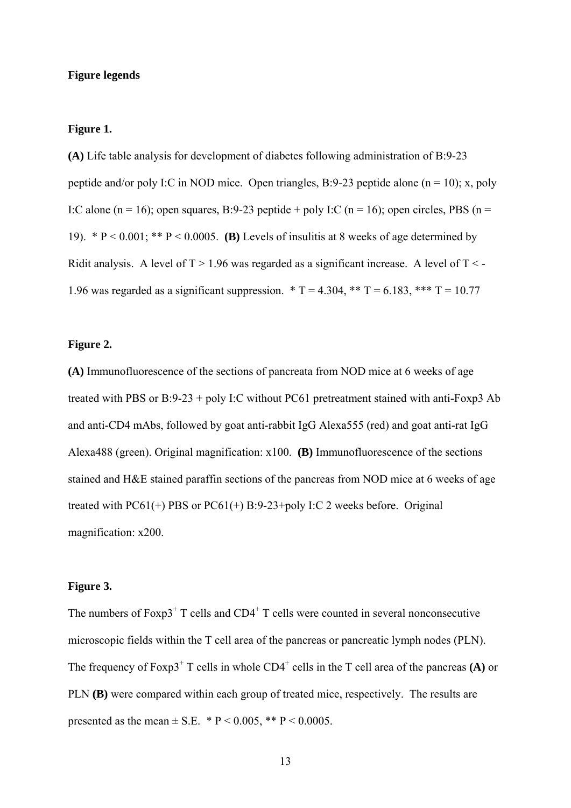## **Figure legends**

## **Figure 1.**

**(A)** Life table analysis for development of diabetes following administration of B:9-23 peptide and/or poly I:C in NOD mice. Open triangles, B:9-23 peptide alone ( $n = 10$ ); x, poly I:C alone (n = 16); open squares, B:9-23 peptide + poly I:C (n = 16); open circles, PBS (n = 19). \* P < 0.001; \*\* P < 0.0005. **(B)** Levels of insulitis at 8 weeks of age determined by Ridit analysis. A level of  $T > 1.96$  was regarded as a significant increase. A level of  $T < -1.96$ 1.96 was regarded as a significant suppression.  $* T = 4.304$ ,  $** T = 6.183$ ,  $*** T = 10.77$ 

## **Figure 2.**

**(A)** Immunofluorescence of the sections of pancreata from NOD mice at 6 weeks of age treated with PBS or B:9-23 + poly I:C without PC61 pretreatment stained with anti-Foxp3 Ab and anti-CD4 mAbs, followed by goat anti-rabbit IgG Alexa555 (red) and goat anti-rat IgG Alexa488 (green). Original magnification: x100. **(B)** Immunofluorescence of the sections stained and H&E stained paraffin sections of the pancreas from NOD mice at 6 weeks of age treated with PC61(+) PBS or PC61(+) B:9-23+poly I:C 2 weeks before. Original magnification: x200.

## **Figure 3.**

The numbers of  $F\exp 3^+$  T cells and  $CD4^+$  T cells were counted in several nonconsecutive microscopic fields within the T cell area of the pancreas or pancreatic lymph nodes (PLN). The frequency of  $F\text{oxp3}^+$  T cells in whole  $CD4^+$  cells in the T cell area of the pancreas **(A)** or PLN **(B)** were compared within each group of treated mice, respectively. The results are presented as the mean  $\pm$  S.E. \* P < 0.005, \*\* P < 0.0005.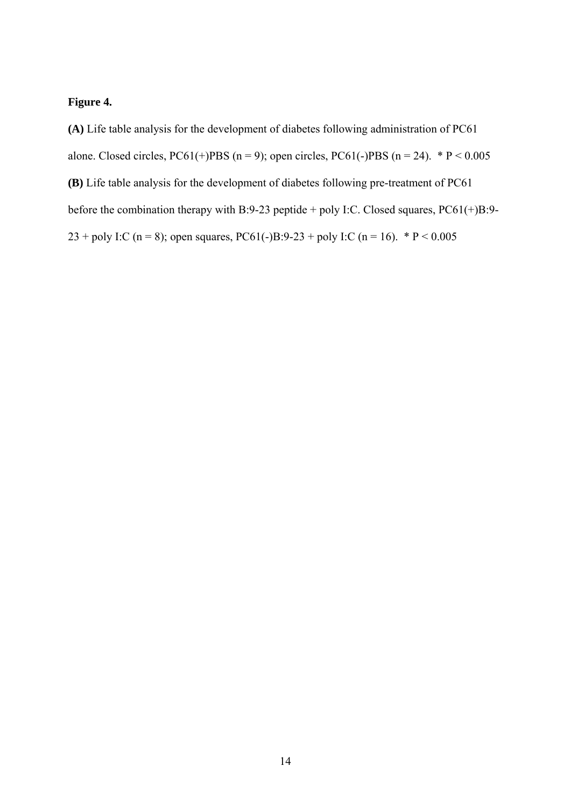## **Figure 4.**

**(A)** Life table analysis for the development of diabetes following administration of PC61 alone. Closed circles, PC61(+)PBS (n = 9); open circles, PC61(-)PBS (n = 24).  $* P < 0.005$ **(B)** Life table analysis for the development of diabetes following pre-treatment of PC61 before the combination therapy with B:9-23 peptide + poly I:C. Closed squares, PC61(+)B:9- 23 + poly I:C (n = 8); open squares, PC61(-)B:9-23 + poly I:C (n = 16). \* P < 0.005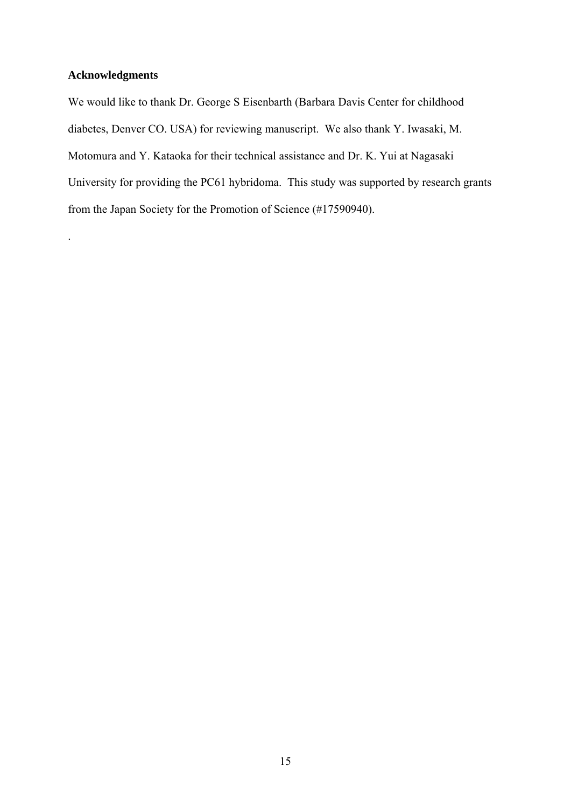## **Acknowledgments**

.

We would like to thank Dr. George S Eisenbarth (Barbara Davis Center for childhood diabetes, Denver CO. USA) for reviewing manuscript. We also thank Y. Iwasaki, M. Motomura and Y. Kataoka for their technical assistance and Dr. K. Yui at Nagasaki University for providing the PC61 hybridoma. This study was supported by research grants from the Japan Society for the Promotion of Science (#17590940).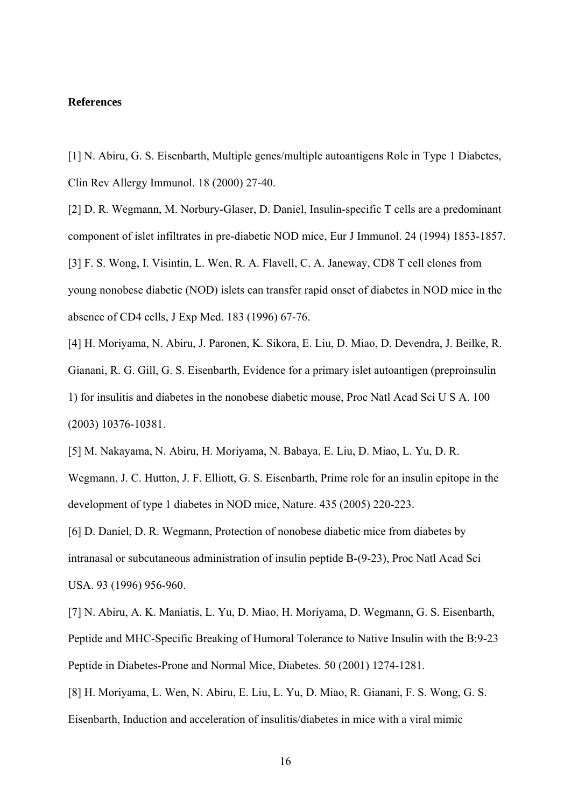## **References**

[1] N. Abiru, G. S. Eisenbarth, Multiple genes/multiple autoantigens Role in Type 1 Diabetes, Clin Rev Allergy Immunol. 18 (2000) 27-40.

[2] D. R. Wegmann, M. Norbury-Glaser, D. Daniel, Insulin-specific T cells are a predominant component of islet infiltrates in pre-diabetic NOD mice, Eur J Immunol. 24 (1994) 1853-1857. [3] F. S. Wong, I. Visintin, L. Wen, R. A. Flavell, C. A. Janeway, CD8 T cell clones from young nonobese diabetic (NOD) islets can transfer rapid onset of diabetes in NOD mice in the absence of CD4 cells, J Exp Med. 183 (1996) 67-76.

[4] H. Moriyama, N. Abiru, J. Paronen, K. Sikora, E. Liu, D. Miao, D. Devendra, J. Beilke, R. Gianani, R. G. Gill, G. S. Eisenbarth, Evidence for a primary islet autoantigen (preproinsulin 1) for insulitis and diabetes in the nonobese diabetic mouse, Proc Natl Acad Sci U S A. 100 (2003) 10376-10381.

[5] M. Nakayama, N. Abiru, H. Moriyama, N. Babaya, E. Liu, D. Miao, L. Yu, D. R. Wegmann, J. C. Hutton, J. F. Elliott, G. S. Eisenbarth, Prime role for an insulin epitope in the

development of type 1 diabetes in NOD mice, Nature. 435 (2005) 220-223.

[6] D. Daniel, D. R. Wegmann, Protection of nonobese diabetic mice from diabetes by intranasal or subcutaneous administration of insulin peptide B-(9-23), Proc Natl Acad Sci USA. 93 (1996) 956-960.

[7] N. Abiru, A. K. Maniatis, L. Yu, D. Miao, H. Moriyama, D. Wegmann, G. S. Eisenbarth, Peptide and MHC-Specific Breaking of Humoral Tolerance to Native Insulin with the B:9-23 Peptide in Diabetes-Prone and Normal Mice, Diabetes. 50 (2001) 1274-1281.

[8] H. Moriyama, L. Wen, N. Abiru, E. Liu, L. Yu, D. Miao, R. Gianani, F. S. Wong, G. S. Eisenbarth, Induction and acceleration of insulitis/diabetes in mice with a viral mimic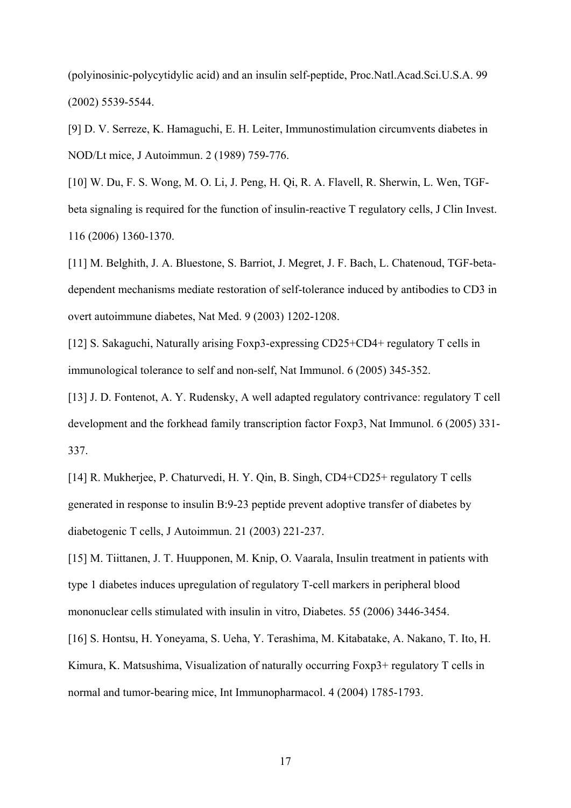(polyinosinic-polycytidylic acid) and an insulin self-peptide, Proc.Natl.Acad.Sci.U.S.A. 99 (2002) 5539-5544.

[9] D. V. Serreze, K. Hamaguchi, E. H. Leiter, Immunostimulation circumvents diabetes in NOD/Lt mice, J Autoimmun. 2 (1989) 759-776.

[10] W. Du, F. S. Wong, M. O. Li, J. Peng, H. Qi, R. A. Flavell, R. Sherwin, L. Wen, TGFbeta signaling is required for the function of insulin-reactive T regulatory cells, J Clin Invest. 116 (2006) 1360-1370.

[11] M. Belghith, J. A. Bluestone, S. Barriot, J. Megret, J. F. Bach, L. Chatenoud, TGF-betadependent mechanisms mediate restoration of self-tolerance induced by antibodies to CD3 in overt autoimmune diabetes, Nat Med. 9 (2003) 1202-1208.

[12] S. Sakaguchi, Naturally arising Foxp3-expressing CD25+CD4+ regulatory T cells in immunological tolerance to self and non-self, Nat Immunol. 6 (2005) 345-352.

[13] J. D. Fontenot, A. Y. Rudensky, A well adapted regulatory contrivance: regulatory T cell development and the forkhead family transcription factor Foxp3, Nat Immunol. 6 (2005) 331- 337.

[14] R. Mukherjee, P. Chaturvedi, H. Y. Qin, B. Singh, CD4+CD25+ regulatory T cells generated in response to insulin B:9-23 peptide prevent adoptive transfer of diabetes by diabetogenic T cells, J Autoimmun. 21 (2003) 221-237.

[15] M. Tiittanen, J. T. Huupponen, M. Knip, O. Vaarala, Insulin treatment in patients with type 1 diabetes induces upregulation of regulatory T-cell markers in peripheral blood mononuclear cells stimulated with insulin in vitro, Diabetes. 55 (2006) 3446-3454.

[16] S. Hontsu, H. Yoneyama, S. Ueha, Y. Terashima, M. Kitabatake, A. Nakano, T. Ito, H. Kimura, K. Matsushima, Visualization of naturally occurring Foxp3+ regulatory T cells in normal and tumor-bearing mice, Int Immunopharmacol. 4 (2004) 1785-1793.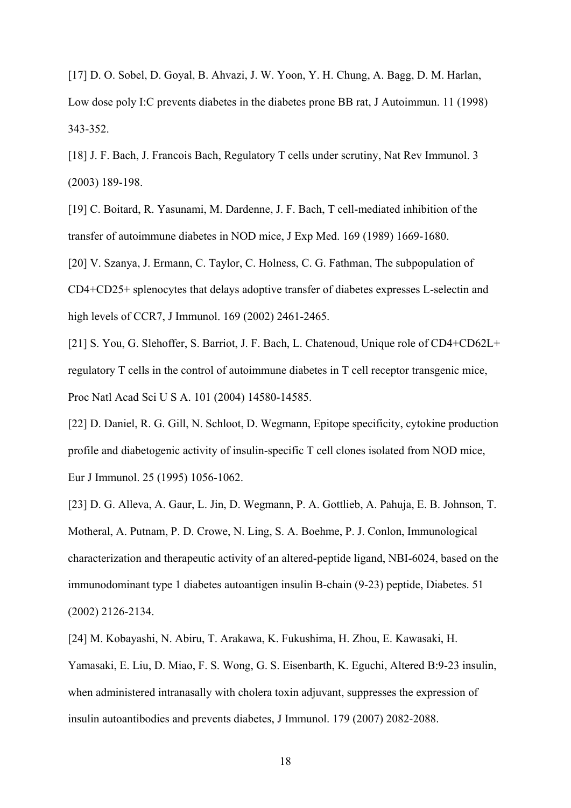[17] D. O. Sobel, D. Goyal, B. Ahvazi, J. W. Yoon, Y. H. Chung, A. Bagg, D. M. Harlan, Low dose poly I:C prevents diabetes in the diabetes prone BB rat, J Autoimmun. 11 (1998) 343-352.

[18] J. F. Bach, J. Francois Bach, Regulatory T cells under scrutiny, Nat Rev Immunol. 3 (2003) 189-198.

[19] C. Boitard, R. Yasunami, M. Dardenne, J. F. Bach, T cell-mediated inhibition of the transfer of autoimmune diabetes in NOD mice, J Exp Med. 169 (1989) 1669-1680.

[20] V. Szanya, J. Ermann, C. Taylor, C. Holness, C. G. Fathman, The subpopulation of CD4+CD25+ splenocytes that delays adoptive transfer of diabetes expresses L-selectin and high levels of CCR7, J Immunol. 169 (2002) 2461-2465.

[21] S. You, G. Slehoffer, S. Barriot, J. F. Bach, L. Chatenoud, Unique role of CD4+CD62L+ regulatory T cells in the control of autoimmune diabetes in T cell receptor transgenic mice, Proc Natl Acad Sci U S A. 101 (2004) 14580-14585.

[22] D. Daniel, R. G. Gill, N. Schloot, D. Wegmann, Epitope specificity, cytokine production profile and diabetogenic activity of insulin-specific T cell clones isolated from NOD mice, Eur J Immunol. 25 (1995) 1056-1062.

[23] D. G. Alleva, A. Gaur, L. Jin, D. Wegmann, P. A. Gottlieb, A. Pahuja, E. B. Johnson, T. Motheral, A. Putnam, P. D. Crowe, N. Ling, S. A. Boehme, P. J. Conlon, Immunological characterization and therapeutic activity of an altered-peptide ligand, NBI-6024, based on the immunodominant type 1 diabetes autoantigen insulin B-chain (9-23) peptide, Diabetes. 51 (2002) 2126-2134.

[24] M. Kobayashi, N. Abiru, T. Arakawa, K. Fukushima, H. Zhou, E. Kawasaki, H. Yamasaki, E. Liu, D. Miao, F. S. Wong, G. S. Eisenbarth, K. Eguchi, Altered B:9-23 insulin, when administered intranasally with cholera toxin adjuvant, suppresses the expression of insulin autoantibodies and prevents diabetes, J Immunol. 179 (2007) 2082-2088.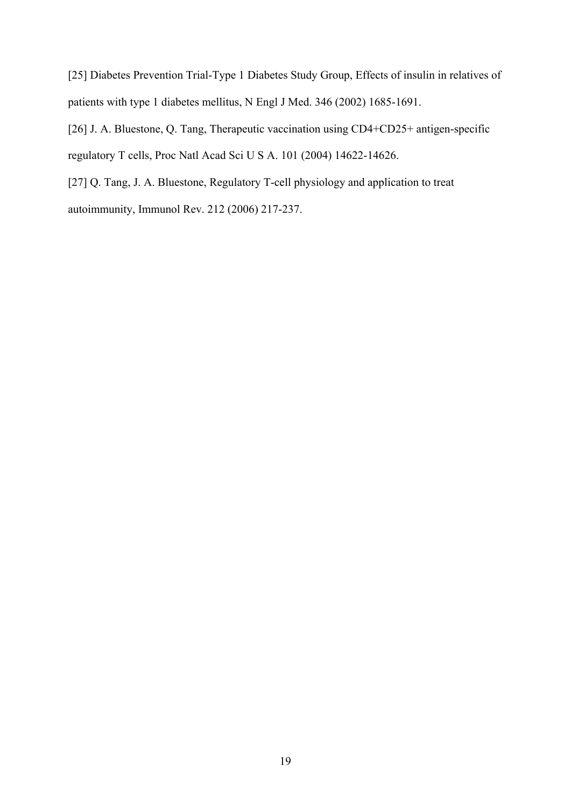[25] Diabetes Prevention Trial-Type 1 Diabetes Study Group, Effects of insulin in relatives of patients with type 1 diabetes mellitus, N Engl J Med. 346 (2002) 1685-1691.

[26] J. A. Bluestone, Q. Tang, Therapeutic vaccination using CD4+CD25+ antigen-specific regulatory T cells, Proc Natl Acad Sci U S A. 101 (2004) 14622-14626.

[27] Q. Tang, J. A. Bluestone, Regulatory T-cell physiology and application to treat autoimmunity, Immunol Rev. 212 (2006) 217-237.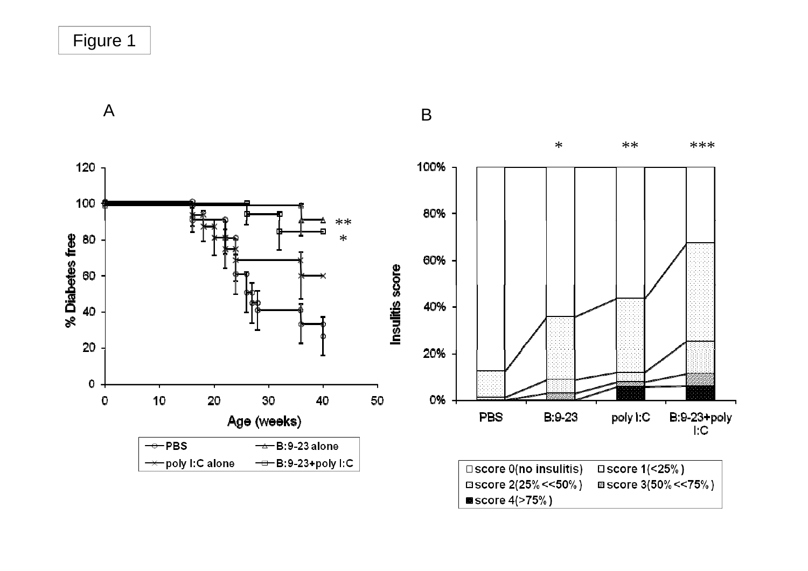Figure 1

A



B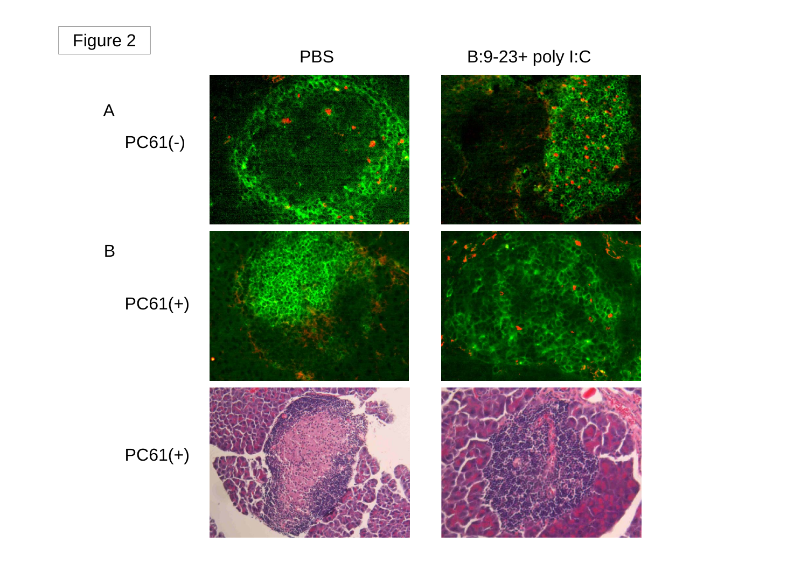# Figure 2 PBS B:9-23+ poly I:C



B

PC61(+)



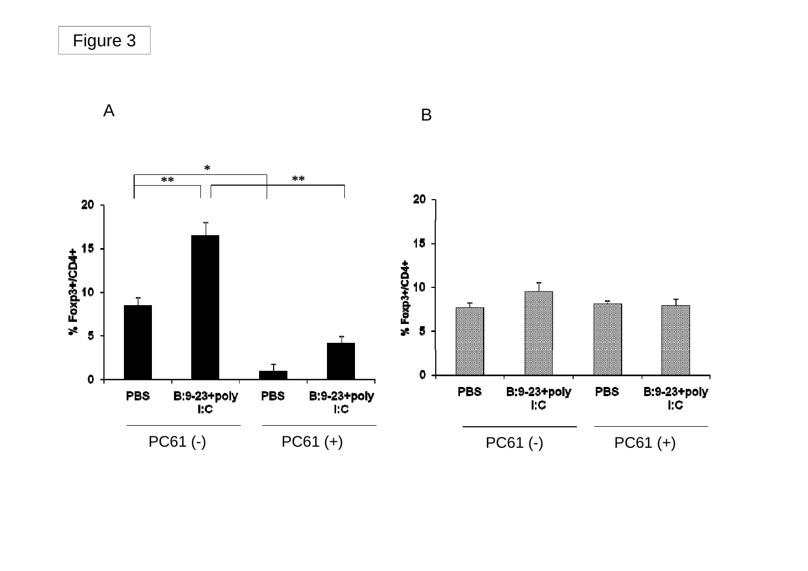Figure 3

AA B



 $\overline{B}$